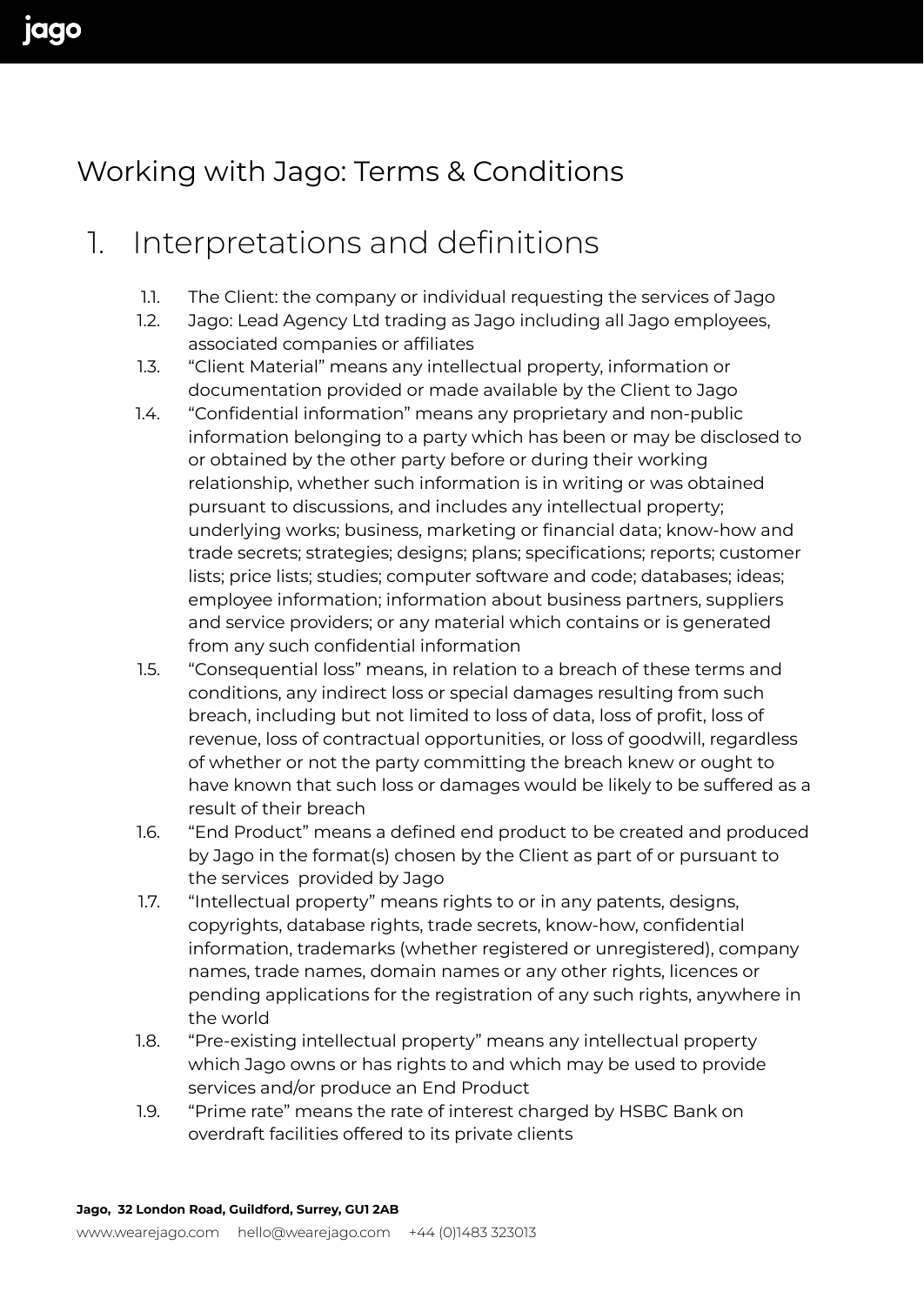## Working with Jago: Terms & Conditions

## 1. Interpretations and definitions

- 1.1. The Client: the company or individual requesting the services of Jago
- 1.2. Jago: Lead Agency Ltd trading as Jago including all Jago employees, associated companies or affiliates
- 1.3. "Client Material" means any intellectual property, information or documentation provided or made available by the Client to Jago
- 1.4. "Confidential information" means any proprietary and non-public information belonging to a party which has been or may be disclosed to or obtained by the other party before or during their working relationship, whether such information is in writing or was obtained pursuant to discussions, and includes any intellectual property; underlying works; business, marketing or financial data; know-how and trade secrets; strategies; designs; plans; specifications; reports; customer lists; price lists; studies; computer software and code; databases; ideas; employee information; information about business partners, suppliers and service providers; or any material which contains or is generated from any such confidential information
- 1.5. "Consequential loss" means, in relation to a breach of these terms and conditions, any indirect loss or special damages resulting from such breach, including but not limited to loss of data, loss of profit, loss of revenue, loss of contractual opportunities, or loss of goodwill, regardless of whether or not the party committing the breach knew or ought to have known that such loss or damages would be likely to be suffered as a result of their breach
- 1.6. "End Product" means a defined end product to be created and produced by Jago in the format(s) chosen by the Client as part of or pursuant to the services provided by Jago
- 1.7. "Intellectual property" means rights to or in any patents, designs, copyrights, database rights, trade secrets, know-how, confidential information, trademarks (whether registered or unregistered), company names, trade names, domain names or any other rights, licences or pending applications for the registration of any such rights, anywhere in the world
- 1.8. "Pre-existing intellectual property" means any intellectual property which Jago owns or has rights to and which may be used to provide services and/or produce an End Product
- 1.9. "Prime rate" means the rate of interest charged by HSBC Bank on overdraft facilities offered to its private clients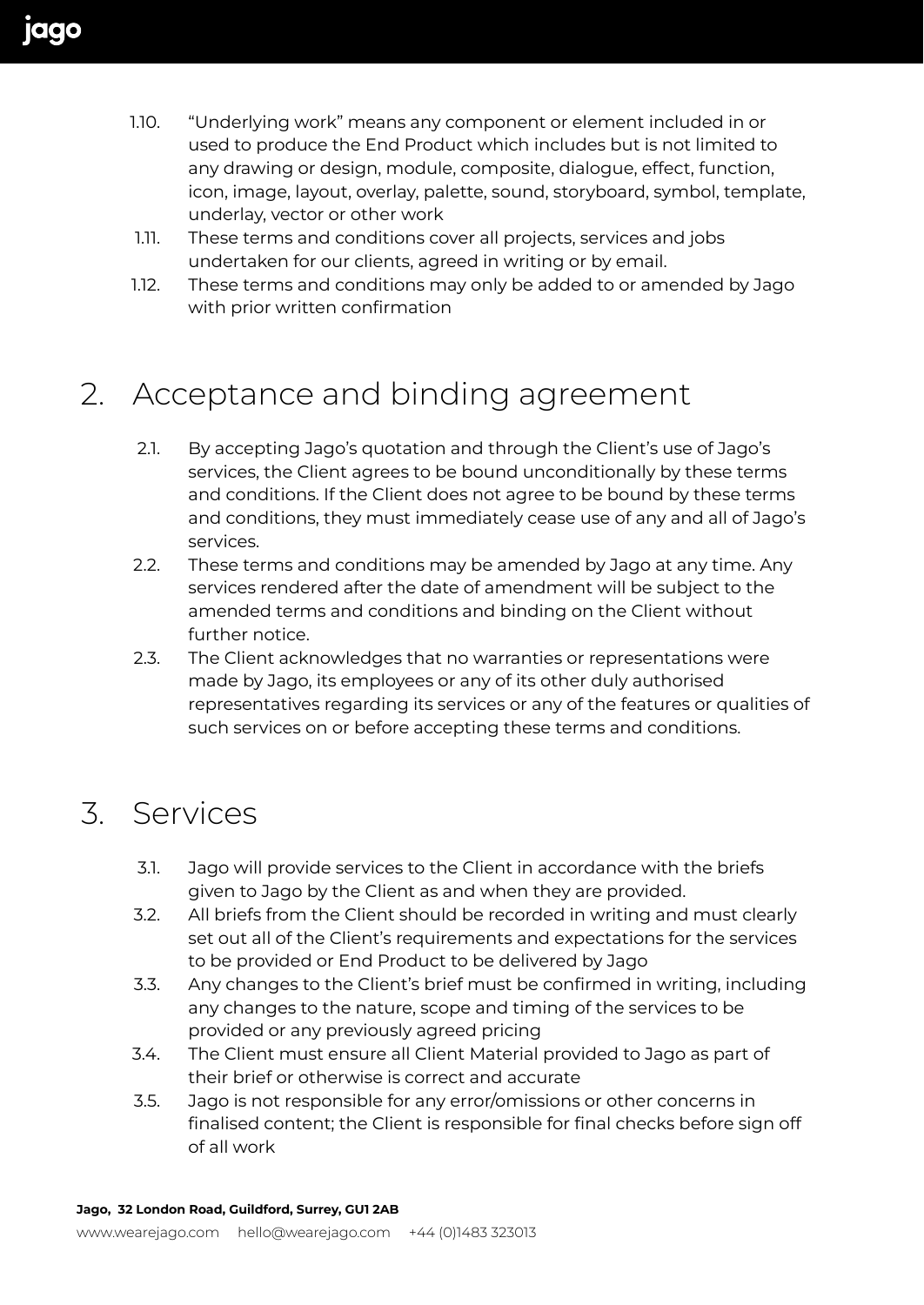- 1.10. "Underlying work" means any component or element included in or used to produce the End Product which includes but is not limited to any drawing or design, module, composite, dialogue, effect, function, icon, image, layout, overlay, palette, sound, storyboard, symbol, template, underlay, vector or other work
- 1.11. These terms and conditions cover all projects, services and jobs undertaken for our clients, agreed in writing or by email.
- 1.12. These terms and conditions may only be added to or amended by Jago with prior written confirmation

## 2. Acceptance and binding agreement

- 2.1. By accepting Jago's quotation and through the Client's use of Jago's services, the Client agrees to be bound unconditionally by these terms and conditions. If the Client does not agree to be bound by these terms and conditions, they must immediately cease use of any and all of Jago's services.
- 2.2. These terms and conditions may be amended by Jago at any time. Any services rendered after the date of amendment will be subject to the amended terms and conditions and binding on the Client without further notice.
- 2.3. The Client acknowledges that no warranties or representations were made by Jago, its employees or any of its other duly authorised representatives regarding its services or any of the features or qualities of such services on or before accepting these terms and conditions.

## 3. Services

- 3.1. Jago will provide services to the Client in accordance with the briefs given to Jago by the Client as and when they are provided.
- 3.2. All briefs from the Client should be recorded in writing and must clearly set out all of the Client's requirements and expectations for the services to be provided or End Product to be delivered by Jago
- 3.3. Any changes to the Client's brief must be confirmed in writing, including any changes to the nature, scope and timing of the services to be provided or any previously agreed pricing
- 3.4. The Client must ensure all Client Material provided to Jago as part of their brief or otherwise is correct and accurate
- 3.5. Jago is not responsible for any error/omissions or other concerns in finalised content; the Client is responsible for final checks before sign off of all work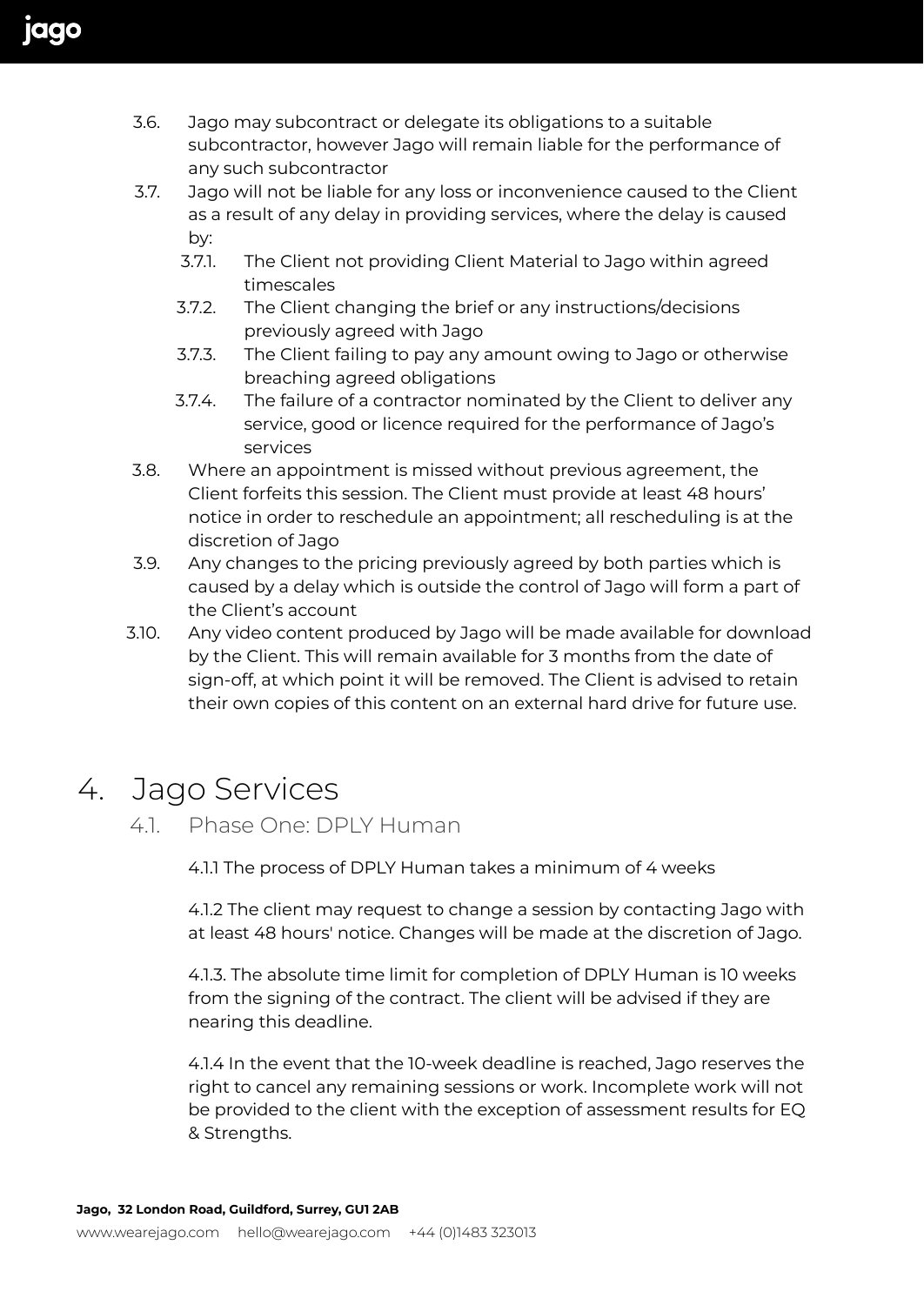- 3.6. Jago may subcontract or delegate its obligations to a suitable subcontractor, however Jago will remain liable for the performance of any such subcontractor
- 3.7. Jago will not be liable for any loss or inconvenience caused to the Client as a result of any delay in providing services, where the delay is caused by:
	- 3.7.1. The Client not providing Client Material to Jago within agreed timescales
	- 3.7.2. The Client changing the brief or any instructions/decisions previously agreed with Jago
	- 3.7.3. The Client failing to pay any amount owing to Jago or otherwise breaching agreed obligations
	- 3.7.4. The failure of a contractor nominated by the Client to deliver any service, good or licence required for the performance of Jago's services
- 3.8. Where an appointment is missed without previous agreement, the Client forfeits this session. The Client must provide at least 48 hours' notice in order to reschedule an appointment; all rescheduling is at the discretion of Jago
- 3.9. Any changes to the pricing previously agreed by both parties which is caused by a delay which is outside the control of Jago will form a part of the Client's account
- 3.10. Any video content produced by Jago will be made available for download by the Client. This will remain available for 3 months from the date of sign-off, at which point it will be removed. The Client is advised to retain their own copies of this content on an external hard drive for future use.

## 4. Jago Services

#### 4.1. Phase One: DPLY Human

4.1.1 The process of DPLY Human takes a minimum of 4 weeks

4.1.2 The client may request to change a session by contacting Jago with at least 48 hours' notice. Changes will be made at the discretion of Jago.

4.1.3. The absolute time limit for completion of DPLY Human is 10 weeks from the signing of the contract. The client will be advised if they are nearing this deadline.

4.1.4 In the event that the 10-week deadline is reached, Jago reserves the right to cancel any remaining sessions or work. Incomplete work will not be provided to the client with the exception of assessment results for EQ & Strengths.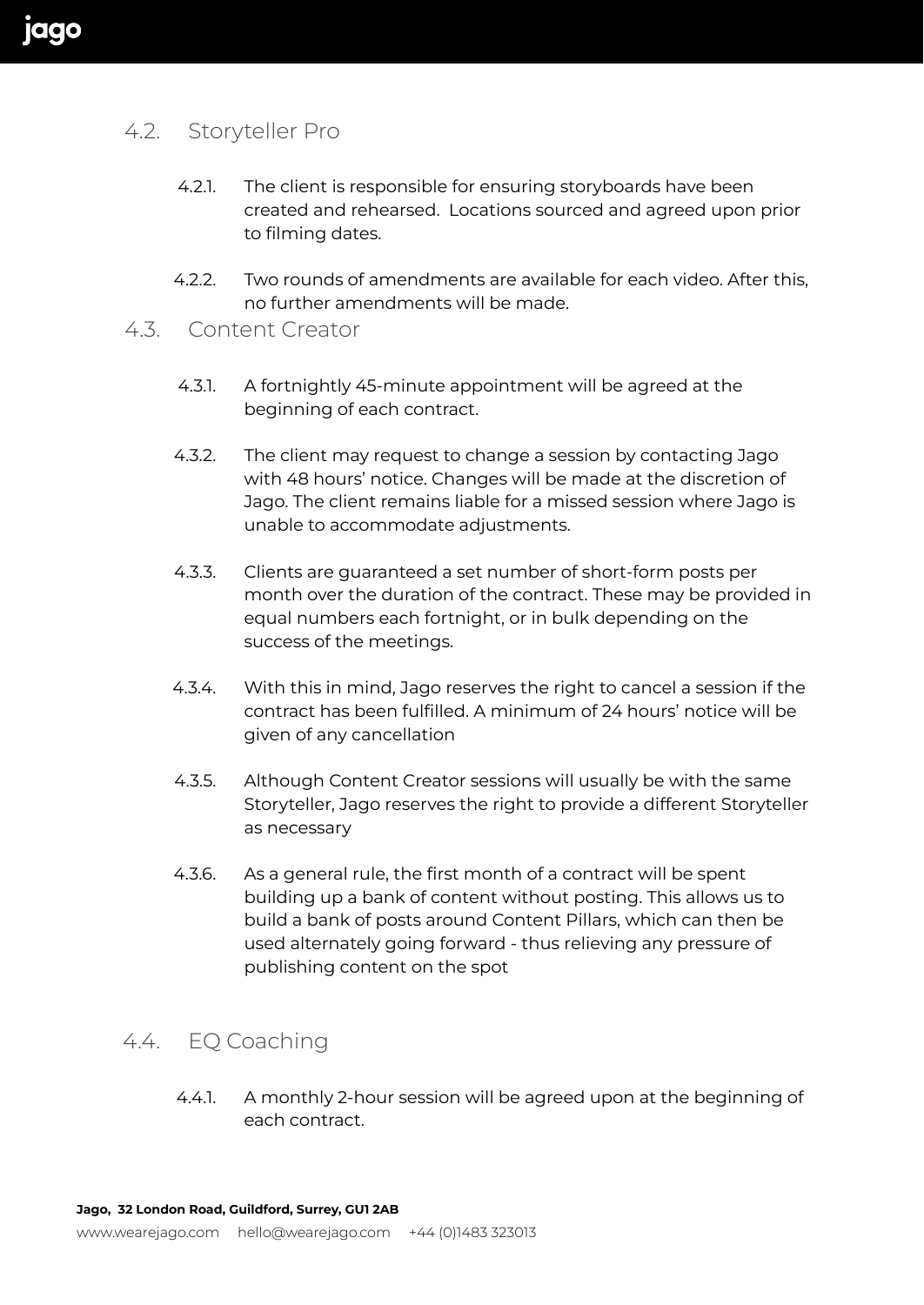#### 4.2. Storyteller Pro

- 4.2.1. The client is responsible for ensuring storyboards have been created and rehearsed. Locations sourced and agreed upon prior to filming dates.
- 4.2.2. Two rounds of amendments are available for each video. After this, no further amendments will be made.
- 4.3. Content Creator
	- 4.3.1. A fortnightly 45-minute appointment will be agreed at the beginning of each contract.
	- 4.3.2. The client may request to change a session by contacting Jago with 48 hours' notice. Changes will be made at the discretion of Jago. The client remains liable for a missed session where Jago is unable to accommodate adjustments.
	- 4.3.3. Clients are guaranteed a set number of short-form posts per month over the duration of the contract. These may be provided in equal numbers each fortnight, or in bulk depending on the success of the meetings.
	- 4.3.4. With this in mind, Jago reserves the right to cancel a session if the contract has been fulfilled. A minimum of 24 hours' notice will be given of any cancellation
	- 4.3.5. Although Content Creator sessions will usually be with the same Storyteller, Jago reserves the right to provide a different Storyteller as necessary
	- 4.3.6. As a general rule, the first month of a contract will be spent building up a bank of content without posting. This allows us to build a bank of posts around Content Pillars, which can then be used alternately going forward - thus relieving any pressure of publishing content on the spot

#### 4.4. EQ Coaching

4.4.1. A monthly 2-hour session will be agreed upon at the beginning of each contract.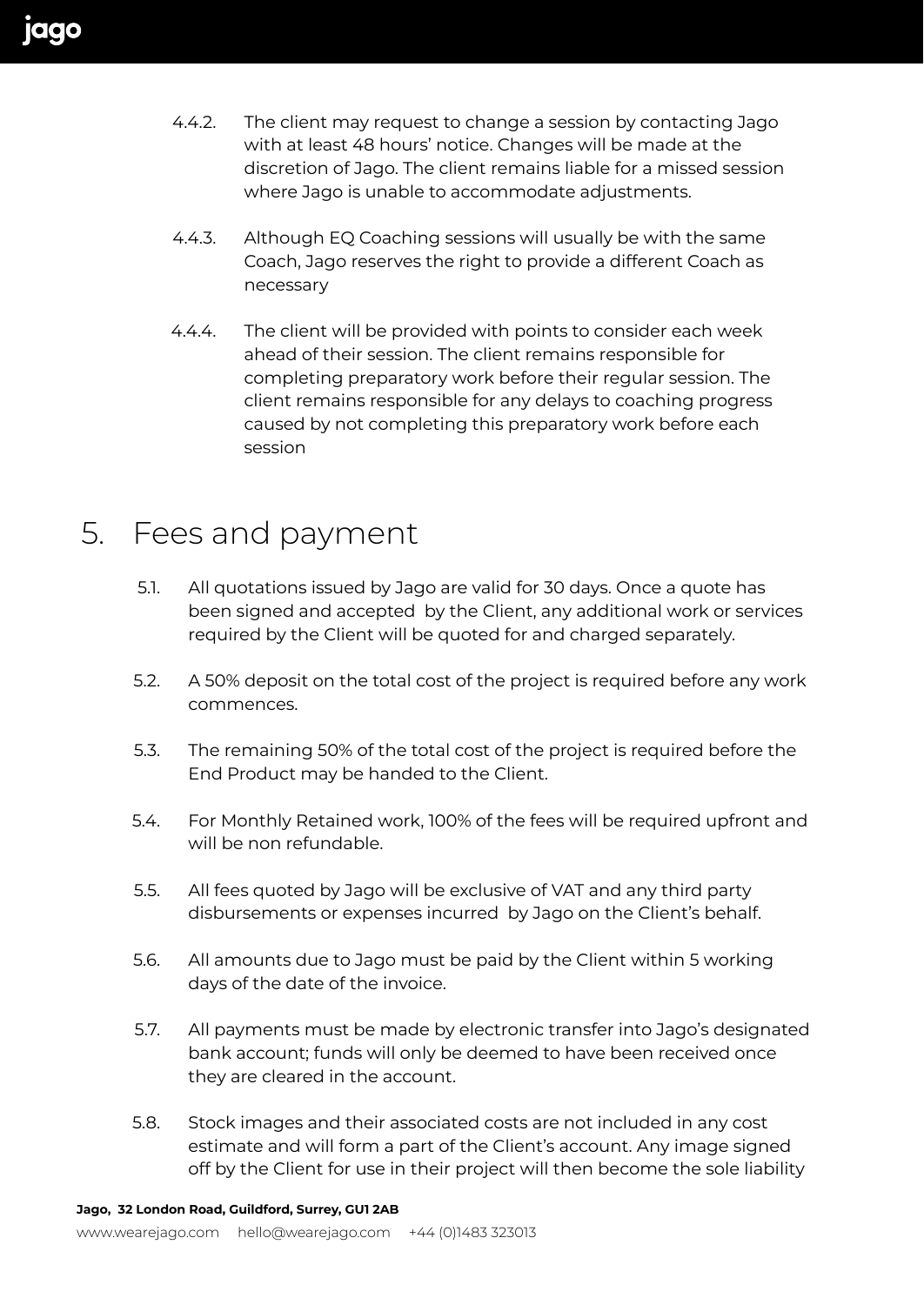- 4.4.2. The client may request to change a session by contacting Jago with at least 48 hours' notice. Changes will be made at the discretion of Jago. The client remains liable for a missed session where Jago is unable to accommodate adjustments.
- 4.4.3. Although EQ Coaching sessions will usually be with the same Coach, Jago reserves the right to provide a different Coach as necessary
- 4.4.4. The client will be provided with points to consider each week ahead of their session. The client remains responsible for completing preparatory work before their regular session. The client remains responsible for any delays to coaching progress caused by not completing this preparatory work before each session

### 5. Fees and payment

- 5.1. All quotations issued by Jago are valid for 30 days. Once a quote has been signed and accepted by the Client, any additional work or services required by the Client will be quoted for and charged separately.
- 5.2. A 50% deposit on the total cost of the project is required before any work commences.
- 5.3. The remaining 50% of the total cost of the project is required before the End Product may be handed to the Client.
- 5.4. For Monthly Retained work, 100% of the fees will be required upfront and will be non refundable.
- 5.5. All fees quoted by Jago will be exclusive of VAT and any third party disbursements or expenses incurred by Jago on the Client's behalf.
- 5.6. All amounts due to Jago must be paid by the Client within 5 working days of the date of the invoice.
- 5.7. All payments must be made by electronic transfer into Jago's designated bank account; funds will only be deemed to have been received once they are cleared in the account.
- 5.8. Stock images and their associated costs are not included in any cost estimate and will form a part of the Client's account. Any image signed off by the Client for use in their project will then become the sole liability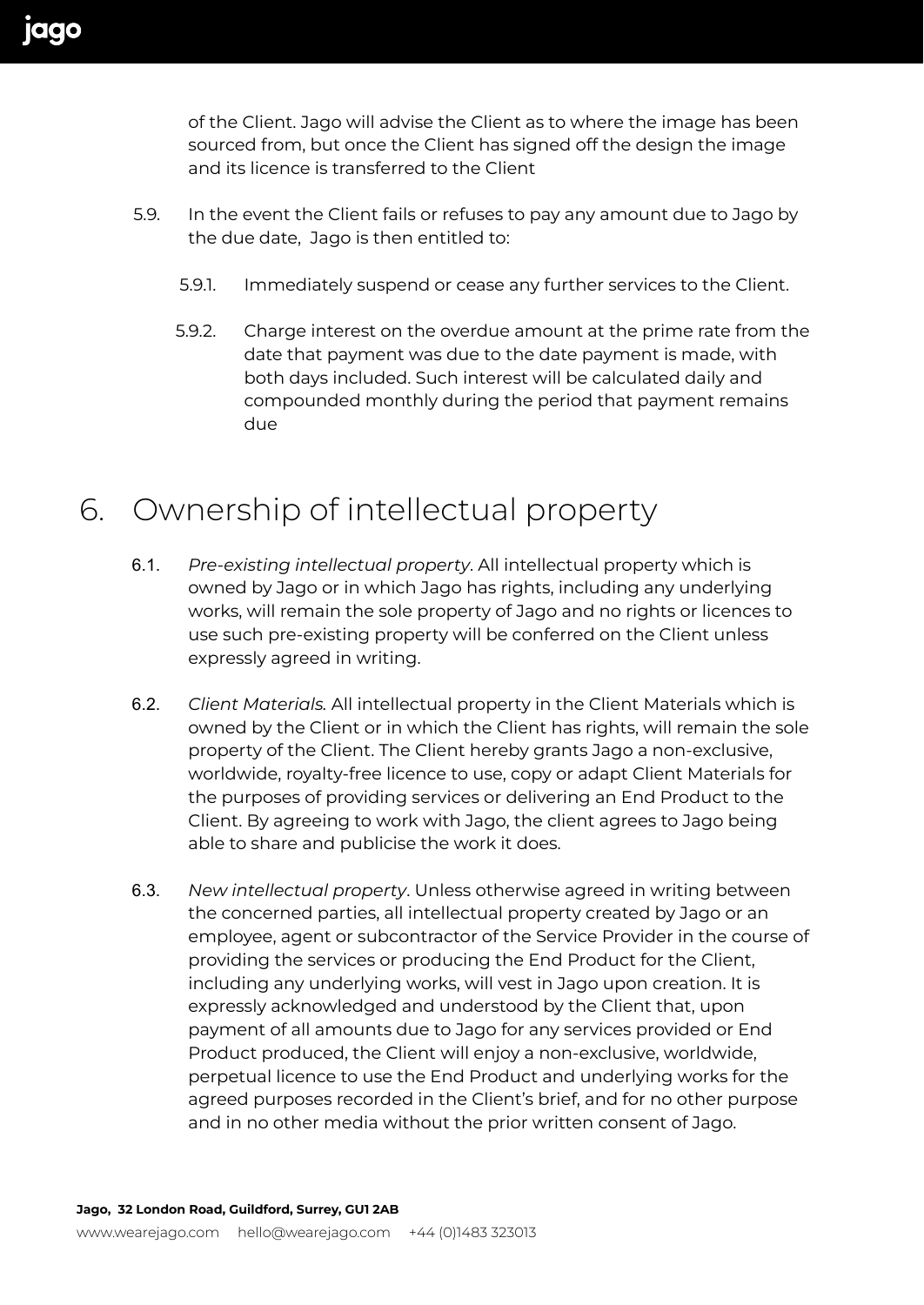of the Client. Jago will advise the Client as to where the image has been sourced from, but once the Client has signed off the design the image and its licence is transferred to the Client

- 5.9. In the event the Client fails or refuses to pay any amount due to Jago by the due date, Jago is then entitled to:
	- 5.9.1. Immediately suspend or cease any further services to the Client.
	- 5.9.2. Charge interest on the overdue amount at the prime rate from the date that payment was due to the date payment is made, with both days included. Such interest will be calculated daily and compounded monthly during the period that payment remains due

### 6. Ownership of intellectual property

- 6.1. *Pre-existing intellectual property*. All intellectual property which is owned by Jago or in which Jago has rights, including any underlying works, will remain the sole property of Jago and no rights or licences to use such pre-existing property will be conferred on the Client unless expressly agreed in writing.
- 6.2. *Client Materials.* All intellectual property in the Client Materials which is owned by the Client or in which the Client has rights, will remain the sole property of the Client. The Client hereby grants Jago a non-exclusive, worldwide, royalty-free licence to use, copy or adapt Client Materials for the purposes of providing services or delivering an End Product to the Client. By agreeing to work with Jago, the client agrees to Jago being able to share and publicise the work it does.
- 6.3. *New intellectual property*. Unless otherwise agreed in writing between the concerned parties, all intellectual property created by Jago or an employee, agent or subcontractor of the Service Provider in the course of providing the services or producing the End Product for the Client, including any underlying works, will vest in Jago upon creation. It is expressly acknowledged and understood by the Client that, upon payment of all amounts due to Jago for any services provided or End Product produced, the Client will enjoy a non-exclusive, worldwide, perpetual licence to use the End Product and underlying works for the agreed purposes recorded in the Client's brief, and for no other purpose and in no other media without the prior written consent of Jago.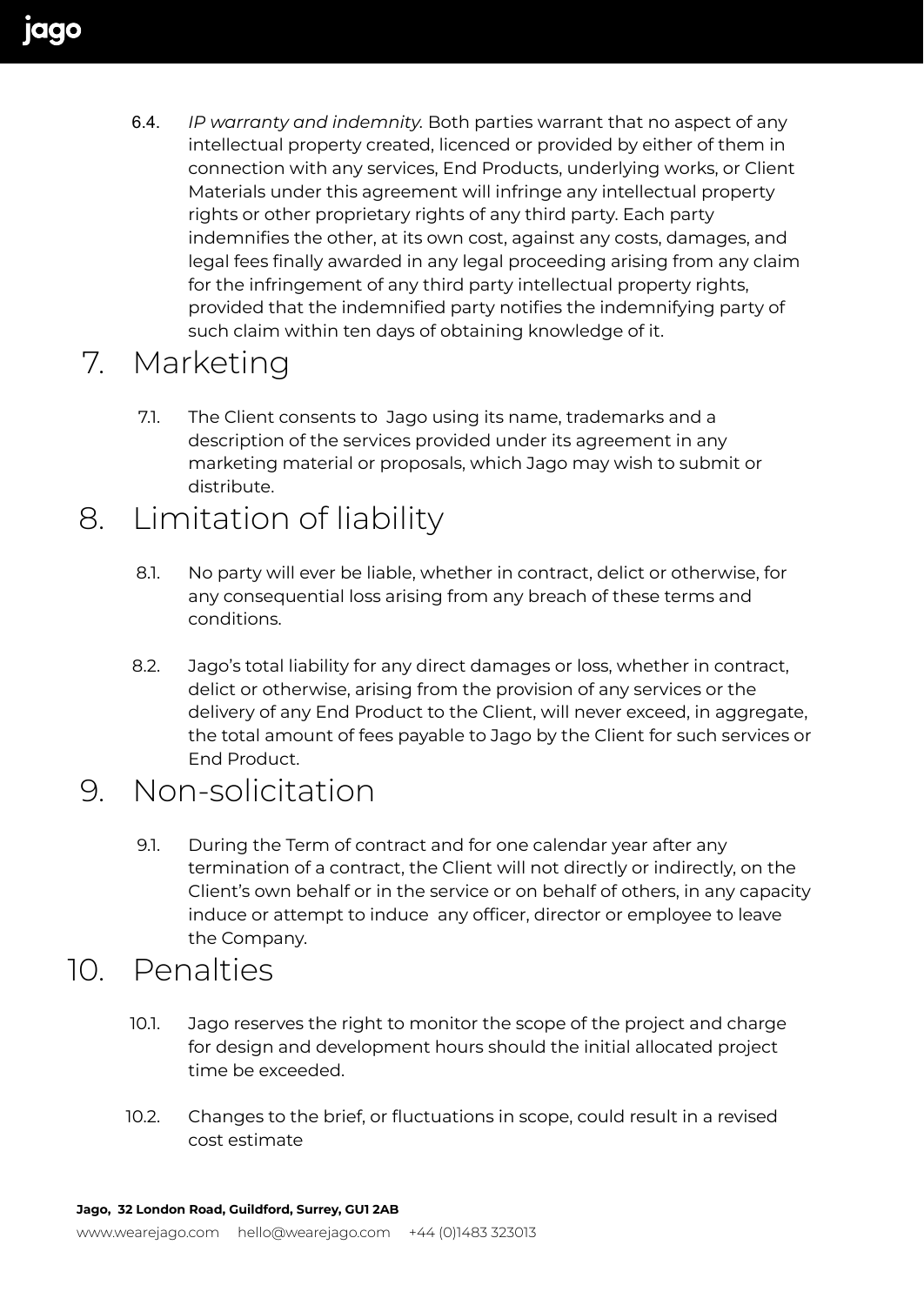6.4. *IP warranty and indemnity.* Both parties warrant that no aspect of any intellectual property created, licenced or provided by either of them in connection with any services, End Products, underlying works, or Client Materials under this agreement will infringe any intellectual property rights or other proprietary rights of any third party. Each party indemnifies the other, at its own cost, against any costs, damages, and legal fees finally awarded in any legal proceeding arising from any claim for the infringement of any third party intellectual property rights, provided that the indemnified party notifies the indemnifying party of such claim within ten days of obtaining knowledge of it.

# 7. Marketing

7.1. The Client consents to Jago using its name, trademarks and a description of the services provided under its agreement in any marketing material or proposals, which Jago may wish to submit or distribute.

## 8. Limitation of liability

- 8.1. No party will ever be liable, whether in contract, delict or otherwise, for any consequential loss arising from any breach of these terms and conditions.
- 8.2. Jago's total liability for any direct damages or loss, whether in contract, delict or otherwise, arising from the provision of any services or the delivery of any End Product to the Client, will never exceed, in aggregate, the total amount of fees payable to Jago by the Client for such services or End Product.

#### 9. Non-solicitation

9.1. During the Term of contract and for one calendar year after any termination of a contract, the Client will not directly or indirectly, on the Client's own behalf or in the service or on behalf of others, in any capacity induce or attempt to induce any officer, director or employee to leave the Company.

#### 10. Penalties

- 10.1. Jago reserves the right to monitor the scope of the project and charge for design and development hours should the initial allocated project time be exceeded.
- 10.2. Changes to the brief, or fluctuations in scope, could result in a revised cost estimate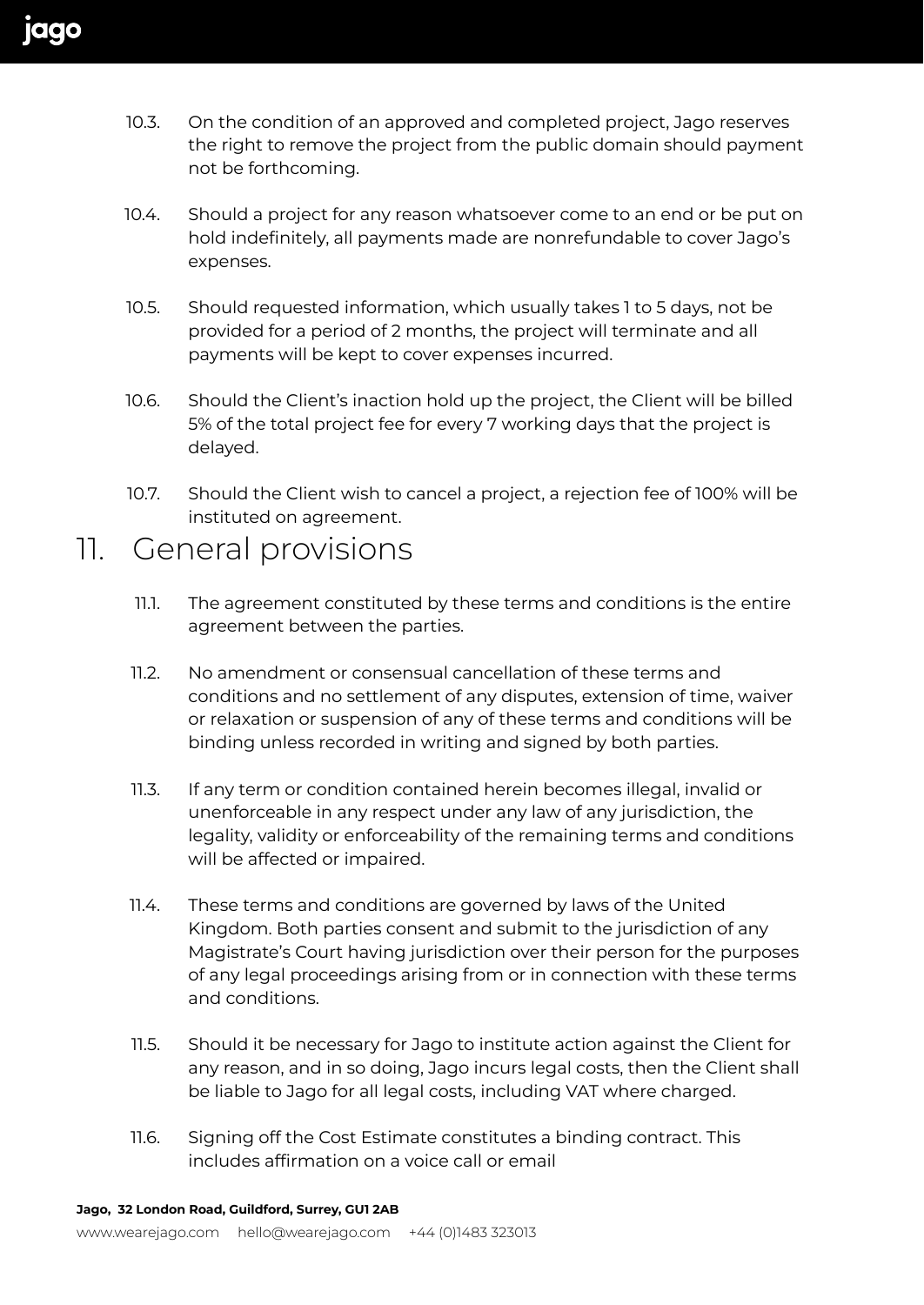- 10.3. On the condition of an approved and completed project, Jago reserves the right to remove the project from the public domain should payment not be forthcoming.
- 10.4. Should a project for any reason whatsoever come to an end or be put on hold indefinitely, all payments made are nonrefundable to cover Jago's expenses.
- 10.5. Should requested information, which usually takes 1 to 5 days, not be provided for a period of 2 months, the project will terminate and all payments will be kept to cover expenses incurred.
- 10.6. Should the Client's inaction hold up the project, the Client will be billed 5% of the total project fee for every 7 working days that the project is delayed.
- 10.7. Should the Client wish to cancel a project, a rejection fee of 100% will be instituted on agreement.

#### 11. General provisions

- 11.1. The agreement constituted by these terms and conditions is the entire agreement between the parties.
- 11.2. No amendment or consensual cancellation of these terms and conditions and no settlement of any disputes, extension of time, waiver or relaxation or suspension of any of these terms and conditions will be binding unless recorded in writing and signed by both parties.
- 11.3. If any term or condition contained herein becomes illegal, invalid or unenforceable in any respect under any law of any jurisdiction, the legality, validity or enforceability of the remaining terms and conditions will be affected or impaired.
- 11.4. These terms and conditions are governed by laws of the United Kingdom. Both parties consent and submit to the jurisdiction of any Magistrate's Court having jurisdiction over their person for the purposes of any legal proceedings arising from or in connection with these terms and conditions.
- 11.5. Should it be necessary for Jago to institute action against the Client for any reason, and in so doing, Jago incurs legal costs, then the Client shall be liable to Jago for all legal costs, including VAT where charged.
- 11.6. Signing off the Cost Estimate constitutes a binding contract. This includes affirmation on a voice call or email